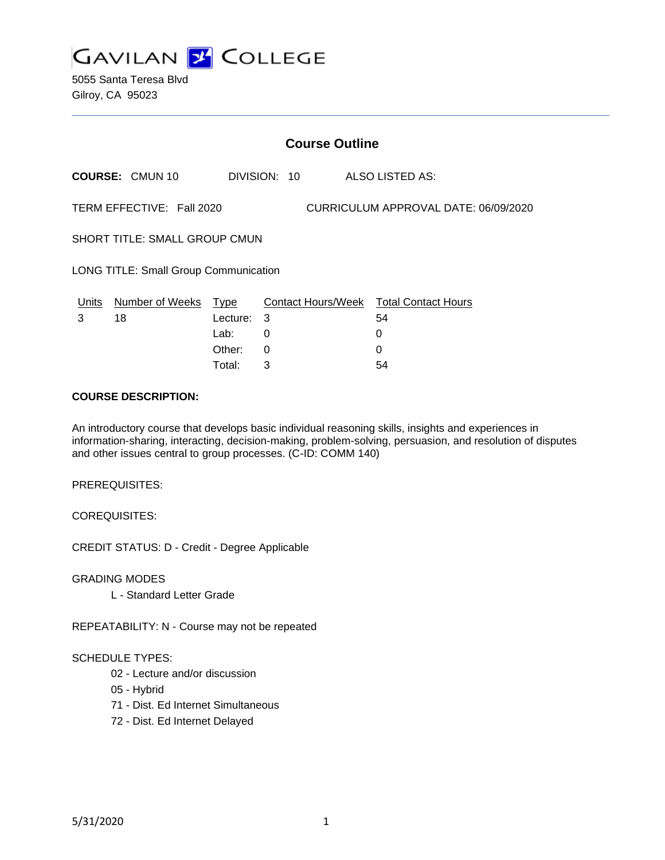

5055 Santa Teresa Blvd Gilroy, CA 95023

|                                              | <b>Course Outline</b>  |                          |              |                                      |                                                   |  |
|----------------------------------------------|------------------------|--------------------------|--------------|--------------------------------------|---------------------------------------------------|--|
|                                              | <b>COURSE: CMUN 10</b> |                          | DIVISION: 10 |                                      | ALSO LISTED AS:                                   |  |
| TERM EFFECTIVE: Fall 2020                    |                        |                          |              | CURRICULUM APPROVAL DATE: 06/09/2020 |                                                   |  |
| <b>SHORT TITLE: SMALL GROUP CMUN</b>         |                        |                          |              |                                      |                                                   |  |
| <b>LONG TITLE: Small Group Communication</b> |                        |                          |              |                                      |                                                   |  |
| Units<br>3                                   | Number of Weeks<br>18  | Type<br>Lecture:<br>Lab: | -3<br>0      |                                      | Contact Hours/Week Total Contact Hours<br>54<br>0 |  |
|                                              |                        | Other:                   | 0            |                                      |                                                   |  |

Total: 3 54

#### **COURSE DESCRIPTION:**

An introductory course that develops basic individual reasoning skills, insights and experiences in information-sharing, interacting, decision-making, problem-solving, persuasion, and resolution of disputes and other issues central to group processes. (C-ID: COMM 140)

PREREQUISITES:

COREQUISITES:

CREDIT STATUS: D - Credit - Degree Applicable

GRADING MODES

L - Standard Letter Grade

REPEATABILITY: N - Course may not be repeated

#### SCHEDULE TYPES:

- 02 Lecture and/or discussion
- 05 Hybrid
- 71 Dist. Ed Internet Simultaneous
- 72 Dist. Ed Internet Delayed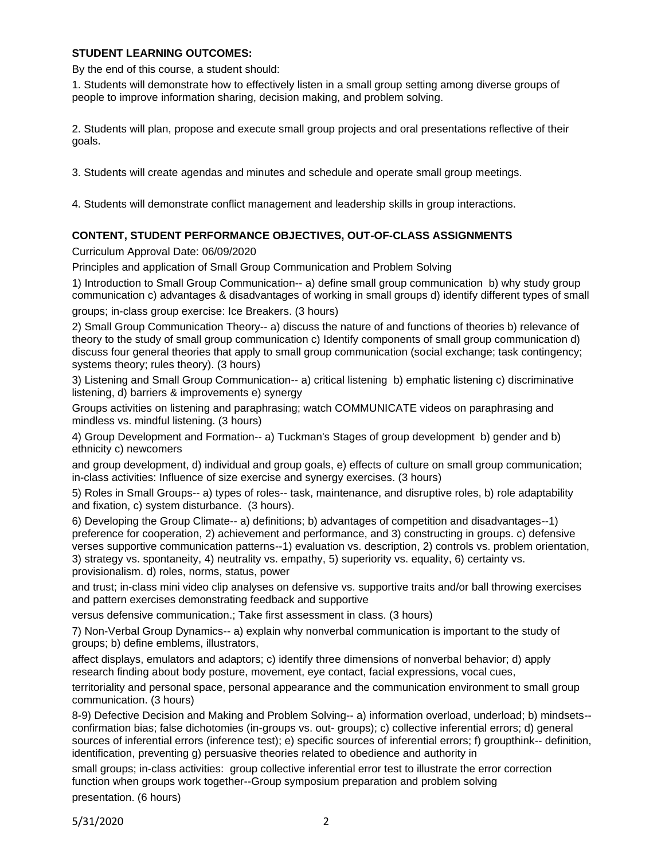# **STUDENT LEARNING OUTCOMES:**

By the end of this course, a student should:

1. Students will demonstrate how to effectively listen in a small group setting among diverse groups of people to improve information sharing, decision making, and problem solving.

2. Students will plan, propose and execute small group projects and oral presentations reflective of their goals.

3. Students will create agendas and minutes and schedule and operate small group meetings.

4. Students will demonstrate conflict management and leadership skills in group interactions.

# **CONTENT, STUDENT PERFORMANCE OBJECTIVES, OUT-OF-CLASS ASSIGNMENTS**

Curriculum Approval Date: 06/09/2020

Principles and application of Small Group Communication and Problem Solving

1) Introduction to Small Group Communication-- a) define small group communication b) why study group communication c) advantages & disadvantages of working in small groups d) identify different types of small

groups; in-class group exercise: Ice Breakers. (3 hours)

2) Small Group Communication Theory-- a) discuss the nature of and functions of theories b) relevance of theory to the study of small group communication c) Identify components of small group communication d) discuss four general theories that apply to small group communication (social exchange; task contingency; systems theory; rules theory). (3 hours)

3) Listening and Small Group Communication-- a) critical listening b) emphatic listening c) discriminative listening, d) barriers & improvements e) synergy

Groups activities on listening and paraphrasing; watch COMMUNICATE videos on paraphrasing and mindless vs. mindful listening. (3 hours)

4) Group Development and Formation-- a) Tuckman's Stages of group development b) gender and b) ethnicity c) newcomers

and group development, d) individual and group goals, e) effects of culture on small group communication; in-class activities: Influence of size exercise and synergy exercises. (3 hours)

5) Roles in Small Groups-- a) types of roles-- task, maintenance, and disruptive roles, b) role adaptability and fixation, c) system disturbance. (3 hours).

6) Developing the Group Climate-- a) definitions; b) advantages of competition and disadvantages--1) preference for cooperation, 2) achievement and performance, and 3) constructing in groups. c) defensive verses supportive communication patterns--1) evaluation vs. description, 2) controls vs. problem orientation, 3) strategy vs. spontaneity, 4) neutrality vs. empathy, 5) superiority vs. equality, 6) certainty vs. provisionalism. d) roles, norms, status, power

and trust; in-class mini video clip analyses on defensive vs. supportive traits and/or ball throwing exercises and pattern exercises demonstrating feedback and supportive

versus defensive communication.; Take first assessment in class. (3 hours)

7) Non-Verbal Group Dynamics-- a) explain why nonverbal communication is important to the study of groups; b) define emblems, illustrators,

affect displays, emulators and adaptors; c) identify three dimensions of nonverbal behavior; d) apply research finding about body posture, movement, eye contact, facial expressions, vocal cues,

territoriality and personal space, personal appearance and the communication environment to small group communication. (3 hours)

8-9) Defective Decision and Making and Problem Solving-- a) information overload, underload; b) mindsets- confirmation bias; false dichotomies (in-groups vs. out- groups); c) collective inferential errors; d) general sources of inferential errors (inference test); e) specific sources of inferential errors; f) groupthink-- definition, identification, preventing g) persuasive theories related to obedience and authority in

small groups; in-class activities: group collective inferential error test to illustrate the error correction function when groups work together--Group symposium preparation and problem solving presentation. (6 hours)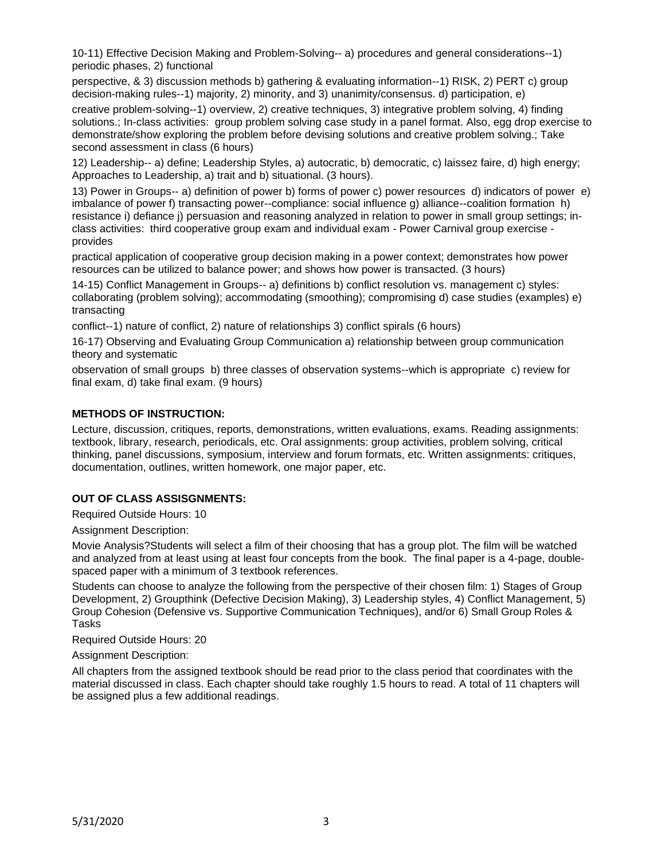10-11) Effective Decision Making and Problem-Solving-- a) procedures and general considerations--1) periodic phases, 2) functional

perspective, & 3) discussion methods b) gathering & evaluating information--1) RISK, 2) PERT c) group decision-making rules--1) majority, 2) minority, and 3) unanimity/consensus. d) participation, e)

creative problem-solving--1) overview, 2) creative techniques, 3) integrative problem solving, 4) finding solutions.; In-class activities: group problem solving case study in a panel format. Also, egg drop exercise to demonstrate/show exploring the problem before devising solutions and creative problem solving.; Take second assessment in class (6 hours)

12) Leadership-- a) define; Leadership Styles, a) autocratic, b) democratic, c) laissez faire, d) high energy; Approaches to Leadership, a) trait and b) situational. (3 hours).

13) Power in Groups-- a) definition of power b) forms of power c) power resources d) indicators of power e) imbalance of power f) transacting power--compliance: social influence g) alliance--coalition formation h) resistance i) defiance j) persuasion and reasoning analyzed in relation to power in small group settings; inclass activities: third cooperative group exam and individual exam - Power Carnival group exercise provides

practical application of cooperative group decision making in a power context; demonstrates how power resources can be utilized to balance power; and shows how power is transacted. (3 hours)

14-15) Conflict Management in Groups-- a) definitions b) conflict resolution vs. management c) styles: collaborating (problem solving); accommodating (smoothing); compromising d) case studies (examples) e) transacting

conflict--1) nature of conflict, 2) nature of relationships 3) conflict spirals (6 hours)

16-17) Observing and Evaluating Group Communication a) relationship between group communication theory and systematic

observation of small groups b) three classes of observation systems--which is appropriate c) review for final exam, d) take final exam. (9 hours)

## **METHODS OF INSTRUCTION:**

Lecture, discussion, critiques, reports, demonstrations, written evaluations, exams. Reading assignments: textbook, library, research, periodicals, etc. Oral assignments: group activities, problem solving, critical thinking, panel discussions, symposium, interview and forum formats, etc. Written assignments: critiques, documentation, outlines, written homework, one major paper, etc.

# **OUT OF CLASS ASSISGNMENTS:**

Required Outside Hours: 10

Assignment Description:

Movie Analysis?Students will select a film of their choosing that has a group plot. The film will be watched and analyzed from at least using at least four concepts from the book. The final paper is a 4-page, doublespaced paper with a minimum of 3 textbook references.

Students can choose to analyze the following from the perspective of their chosen film: 1) Stages of Group Development, 2) Groupthink (Defective Decision Making), 3) Leadership styles, 4) Conflict Management, 5) Group Cohesion (Defensive vs. Supportive Communication Techniques), and/or 6) Small Group Roles & Tasks

Required Outside Hours: 20

Assignment Description:

All chapters from the assigned textbook should be read prior to the class period that coordinates with the material discussed in class. Each chapter should take roughly 1.5 hours to read. A total of 11 chapters will be assigned plus a few additional readings.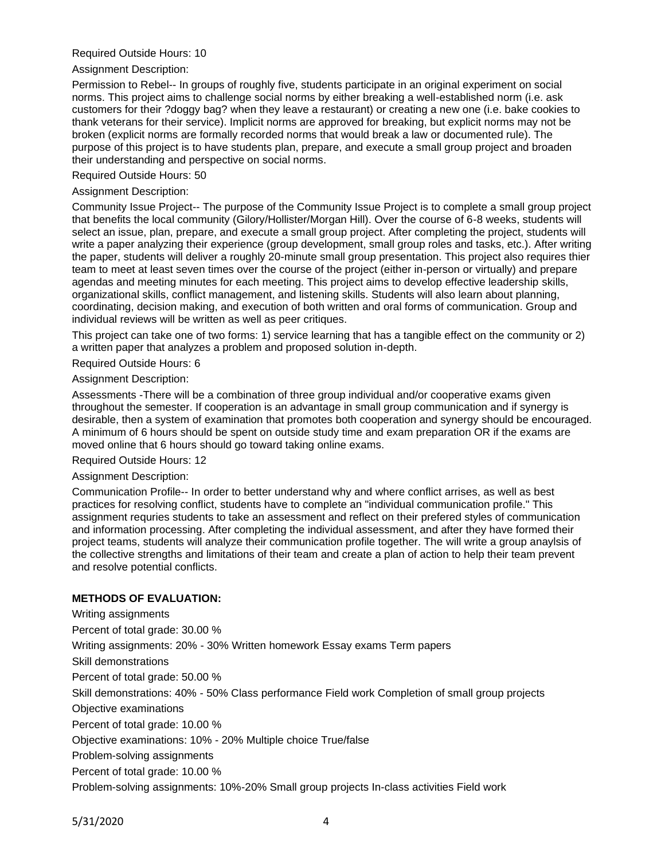## Required Outside Hours: 10

#### Assignment Description:

Permission to Rebel-- In groups of roughly five, students participate in an original experiment on social norms. This project aims to challenge social norms by either breaking a well-established norm (i.e. ask customers for their ?doggy bag? when they leave a restaurant) or creating a new one (i.e. bake cookies to thank veterans for their service). Implicit norms are approved for breaking, but explicit norms may not be broken (explicit norms are formally recorded norms that would break a law or documented rule). The purpose of this project is to have students plan, prepare, and execute a small group project and broaden their understanding and perspective on social norms.

## Required Outside Hours: 50

## Assignment Description:

Community Issue Project-- The purpose of the Community Issue Project is to complete a small group project that benefits the local community (Gilory/Hollister/Morgan Hill). Over the course of 6-8 weeks, students will select an issue, plan, prepare, and execute a small group project. After completing the project, students will write a paper analyzing their experience (group development, small group roles and tasks, etc.). After writing the paper, students will deliver a roughly 20-minute small group presentation. This project also requires thier team to meet at least seven times over the course of the project (either in-person or virtually) and prepare agendas and meeting minutes for each meeting. This project aims to develop effective leadership skills, organizational skills, conflict management, and listening skills. Students will also learn about planning, coordinating, decision making, and execution of both written and oral forms of communication. Group and individual reviews will be written as well as peer critiques.

This project can take one of two forms: 1) service learning that has a tangible effect on the community or 2) a written paper that analyzes a problem and proposed solution in-depth.

Required Outside Hours: 6

#### Assignment Description:

Assessments -There will be a combination of three group individual and/or cooperative exams given throughout the semester. If cooperation is an advantage in small group communication and if synergy is desirable, then a system of examination that promotes both cooperation and synergy should be encouraged. A minimum of 6 hours should be spent on outside study time and exam preparation OR if the exams are moved online that 6 hours should go toward taking online exams.

#### Required Outside Hours: 12

#### Assignment Description:

Communication Profile-- In order to better understand why and where conflict arrises, as well as best practices for resolving conflict, students have to complete an "individual communication profile." This assignment requries students to take an assessment and reflect on their prefered styles of communication and information processing. After completing the individual assessment, and after they have formed their project teams, students will analyze their communication profile together. The will write a group anaylsis of the collective strengths and limitations of their team and create a plan of action to help their team prevent and resolve potential conflicts.

# **METHODS OF EVALUATION:**

Writing assignments Percent of total grade: 30.00 % Writing assignments: 20% - 30% Written homework Essay exams Term papers Skill demonstrations Percent of total grade: 50.00 % Skill demonstrations: 40% - 50% Class performance Field work Completion of small group projects Objective examinations Percent of total grade: 10.00 % Objective examinations: 10% - 20% Multiple choice True/false Problem-solving assignments Percent of total grade: 10.00 % Problem-solving assignments: 10%-20% Small group projects In-class activities Field work